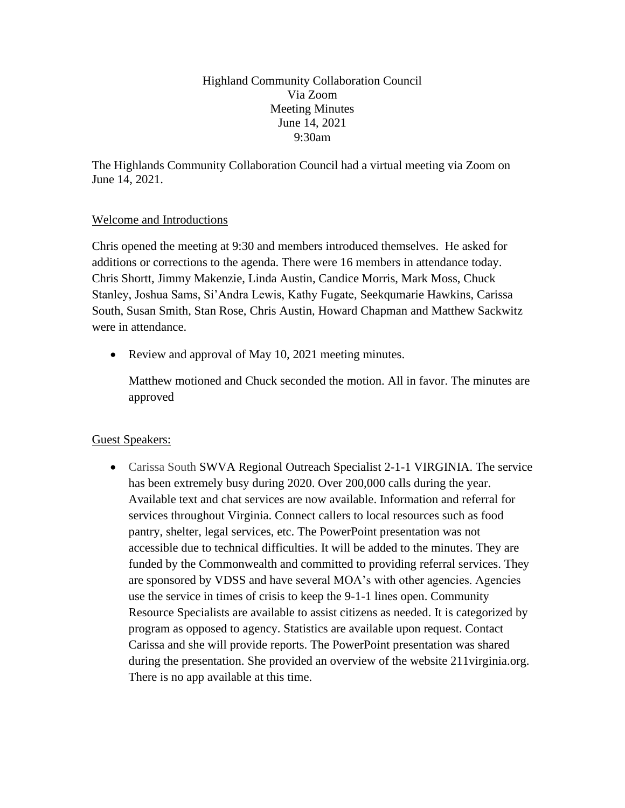Highland Community Collaboration Council Via Zoom Meeting Minutes June 14, 2021 9:30am

The Highlands Community Collaboration Council had a virtual meeting via Zoom on June 14, 2021.

# Welcome and Introductions

Chris opened the meeting at 9:30 and members introduced themselves. He asked for additions or corrections to the agenda. There were 16 members in attendance today. Chris Shortt, Jimmy Makenzie, Linda Austin, Candice Morris, Mark Moss, Chuck Stanley, Joshua Sams, Si'Andra Lewis, Kathy Fugate, Seekqumarie Hawkins, Carissa South, Susan Smith, Stan Rose, Chris Austin, Howard Chapman and Matthew Sackwitz were in attendance.

• Review and approval of May 10, 2021 meeting minutes.

Matthew motioned and Chuck seconded the motion. All in favor. The minutes are approved

# Guest Speakers:

• Carissa South SWVA Regional Outreach Specialist 2-1-1 VIRGINIA. The service has been extremely busy during 2020. Over 200,000 calls during the year. Available text and chat services are now available. Information and referral for services throughout Virginia. Connect callers to local resources such as food pantry, shelter, legal services, etc. The PowerPoint presentation was not accessible due to technical difficulties. It will be added to the minutes. They are funded by the Commonwealth and committed to providing referral services. They are sponsored by VDSS and have several MOA's with other agencies. Agencies use the service in times of crisis to keep the 9-1-1 lines open. Community Resource Specialists are available to assist citizens as needed. It is categorized by program as opposed to agency. Statistics are available upon request. Contact Carissa and she will provide reports. The PowerPoint presentation was shared during the presentation. She provided an overview of the website 211 virginia.org. There is no app available at this time.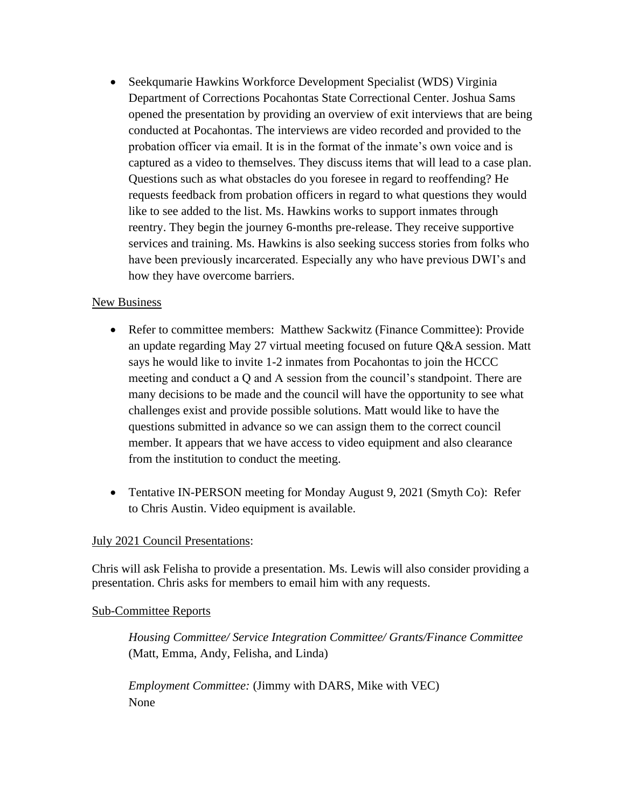• Seekqumarie Hawkins Workforce Development Specialist (WDS) Virginia Department of Corrections Pocahontas State Correctional Center. Joshua Sams opened the presentation by providing an overview of exit interviews that are being conducted at Pocahontas. The interviews are video recorded and provided to the probation officer via email. It is in the format of the inmate's own voice and is captured as a video to themselves. They discuss items that will lead to a case plan. Questions such as what obstacles do you foresee in regard to reoffending? He requests feedback from probation officers in regard to what questions they would like to see added to the list. Ms. Hawkins works to support inmates through reentry. They begin the journey 6-months pre-release. They receive supportive services and training. Ms. Hawkins is also seeking success stories from folks who have been previously incarcerated. Especially any who have previous DWI's and how they have overcome barriers.

# New Business

- Refer to committee members: Matthew Sackwitz (Finance Committee): Provide an update regarding May 27 virtual meeting focused on future Q&A session. Matt says he would like to invite 1-2 inmates from Pocahontas to join the HCCC meeting and conduct a Q and A session from the council's standpoint. There are many decisions to be made and the council will have the opportunity to see what challenges exist and provide possible solutions. Matt would like to have the questions submitted in advance so we can assign them to the correct council member. It appears that we have access to video equipment and also clearance from the institution to conduct the meeting.
- Tentative IN-PERSON meeting for Monday August 9, 2021 (Smyth Co): Refer to Chris Austin. Video equipment is available.

# July 2021 Council Presentations:

Chris will ask Felisha to provide a presentation. Ms. Lewis will also consider providing a presentation. Chris asks for members to email him with any requests.

## Sub-Committee Reports

*Housing Committee/ Service Integration Committee/ Grants/Finance Committee* (Matt, Emma, Andy, Felisha, and Linda)

*Employment Committee:* (Jimmy with DARS, Mike with VEC) None